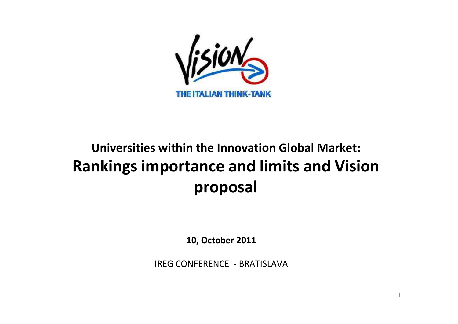

# **Universities within the Innovation Global Market:Rankings importance and limits and Vision proposal**

**10, October 2011**

IREG CONFERENCE - BRATISLAVA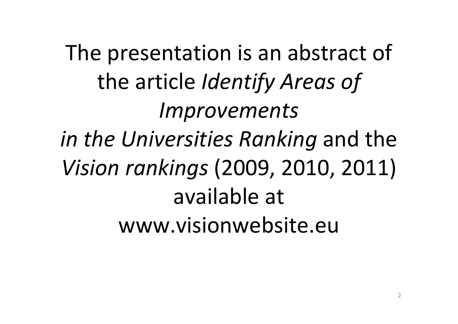The presentation is an abstract of the article *Identify Areas of Improvements in the Universities Ranking* and the *Vision rankings* (2009, 2010, 2011) available at www.visionwebsite.eu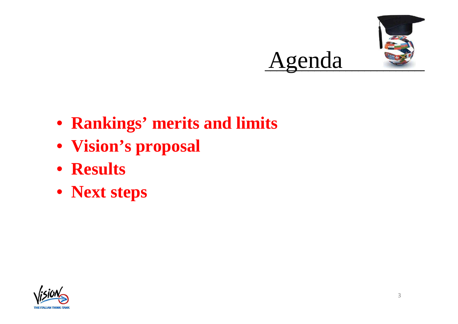

- **Rankings' merits and limits**
- **Vision's proposa<sup>l</sup>**
- **Results**
- **Next steps**

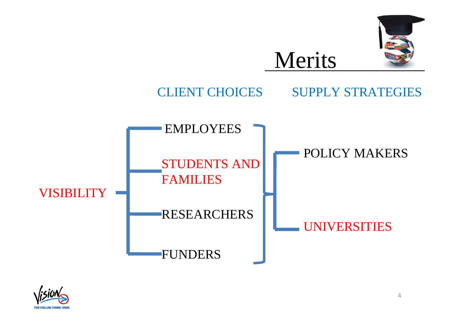





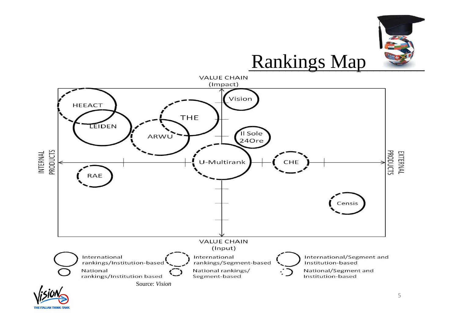

**THE ITALIAN THINK-TANK**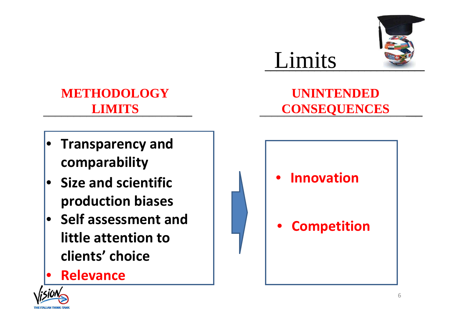

# **METHODOLOGY LIMITS**

- • **Transparency and comparability**
- **Size and scientific production biases**
- **Self assessment and little attention to clients' choice**
- •**Relevance**

# **UNINTENDED CONSEQUENCES**

Limits



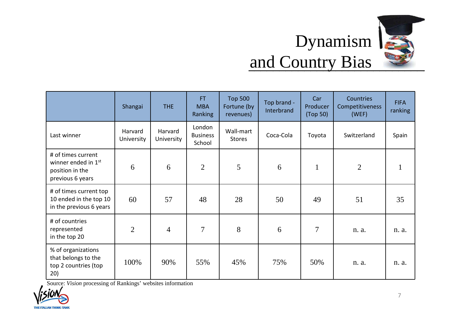

# Dynamism and Country Bias

|                                                                                              | Shangai               | <b>THE</b>            | <b>FT</b><br><b>MBA</b><br><b>Ranking</b> | <b>Top 500</b><br>Fortune (by<br>revenues) | Top brand -<br>Interbrand | Car<br>Producer<br>(Top 50) | Countries<br>Competitiveness<br>(WEF) | <b>FIFA</b><br>ranking |
|----------------------------------------------------------------------------------------------|-----------------------|-----------------------|-------------------------------------------|--------------------------------------------|---------------------------|-----------------------------|---------------------------------------|------------------------|
| Last winner                                                                                  | Harvard<br>University | Harvard<br>University | London<br><b>Business</b><br>School       | Wall-mart<br><b>Stores</b>                 | Coca-Cola                 | Toyota                      | Switzerland                           | Spain                  |
| # of times current<br>winner ended in 1 <sup>st</sup><br>position in the<br>previous 6 years | 6                     | 6                     | $\overline{2}$                            | 5                                          | 6                         | $\mathbf{1}$                | $\overline{2}$                        |                        |
| # of times current top<br>10 ended in the top 10<br>in the previous 6 years                  | 60                    | 57                    | 48                                        | 28                                         | 50                        | 49                          | 51                                    | 35                     |
| # of countries<br>represented<br>in the top 20                                               | $\overline{2}$        | $\overline{4}$        | $\tau$                                    | 8                                          | 6                         | $\tau$                      | n. a.                                 | n. a.                  |
| % of organizations<br>that belongs to the<br>top 2 countries (top<br>20)                     | 100%                  | 90%                   | 55%                                       | 45%                                        | 75%                       | 50%                         | n. a.                                 | n. a.                  |

Source: *Vision* processing of Rankings' websites information

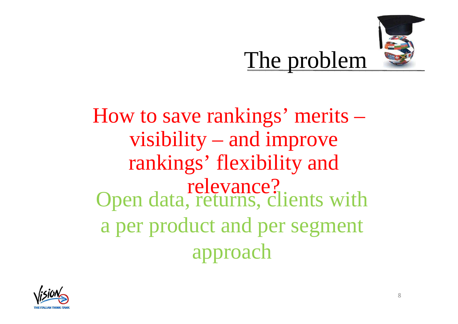

How to save rankings' merits –visibility – and improve rankings' flexibility and relevance?Open data, returns, clients with a per product and per segment approach

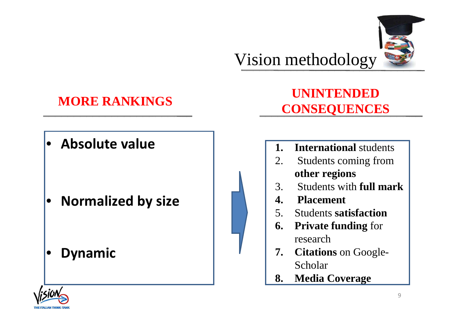

# **MORE RANKINGS**

• **Absolute value**

•**Normalized by size**

•**Dynamic**



# **UNINTENDED CONSEQUENCES**

- **1. International** students
- 2. Students coming from **other regions**
- 3. Students with **full mark**
- **4. Placement**
- 5. Students **satisfaction**
- **6. Private funding** for research
- **7. Citations** on Google-Scholar
- **8. Media Coverage**

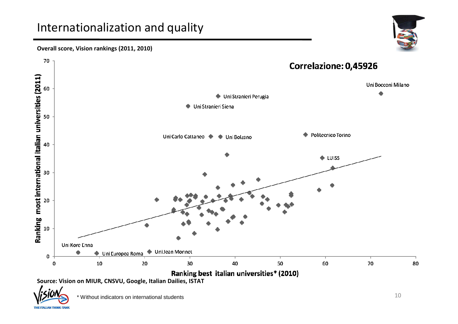### Internationalization and quality



#### **Overall score, Vision rankings (2011, 2010)**



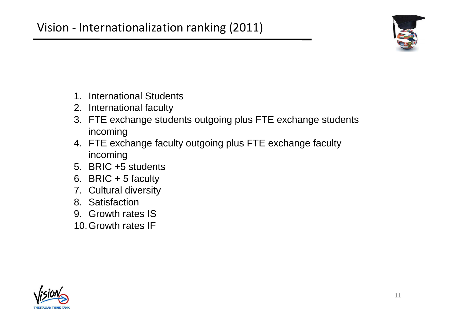

- 1. International Students
- 2. International faculty
- 3. FTE exchange students outgoing plus FTE exchange students incoming
- 4. FTE exchange faculty outgoing plus FTE exchange faculty incoming
- 5. BRIC +5 students
- 6. BRIC  $+ 5$  faculty
- 7. Cultural diversity
- 8. Satisfaction
- 9. Growth rates IS
- 10.Growth rates IF

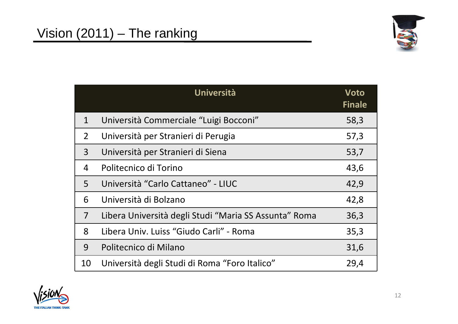

|                | Università                                            | Voto<br><b>Finale</b> |
|----------------|-------------------------------------------------------|-----------------------|
| 1              | Università Commerciale "Luigi Bocconi"                | 58,3                  |
| $2^{\circ}$    | Università per Stranieri di Perugia                   | 57,3                  |
| $\overline{3}$ | Università per Stranieri di Siena                     | 53,7                  |
| 4              | Politecnico di Torino                                 | 43,6                  |
| 5              | Università "Carlo Cattaneo" - LIUC                    | 42,9                  |
| 6              | Università di Bolzano                                 | 42,8                  |
| $\overline{7}$ | Libera Università degli Studi "Maria SS Assunta" Roma | 36,3                  |
| 8              | Libera Univ. Luiss "Giudo Carli" - Roma               | 35,3                  |
| 9              | Politecnico di Milano                                 | 31,6                  |
| 10             | Università degli Studi di Roma "Foro Italico"         | 29,4                  |

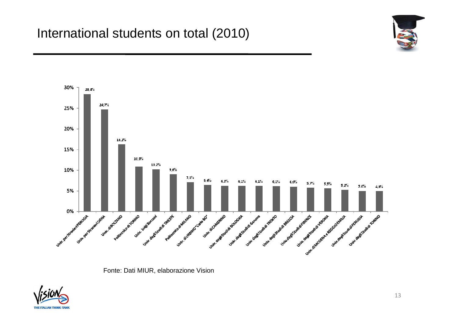



Fonte: Dati MIUR, elaborazione Vision

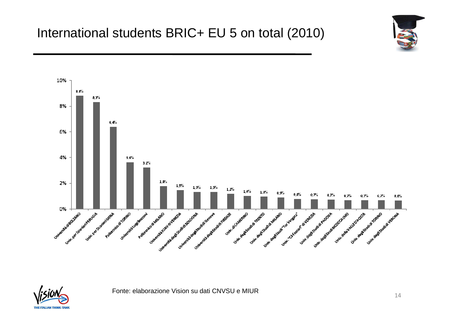



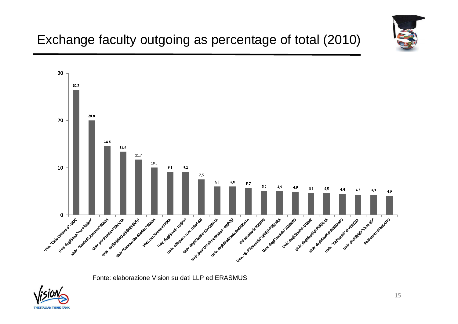

# Exchange faculty outgoing as percentage of total (2010)



Fonte: elaborazione Vision su dati LLP ed ERASMUS

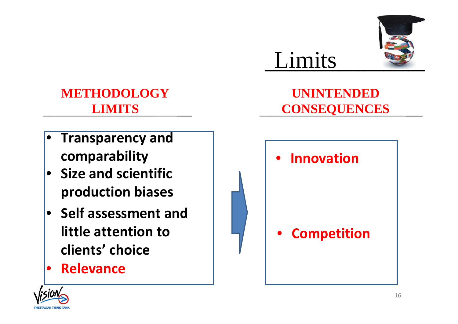

# **METHODOLOGY LIMITS**

- • **Transparency and comparability**
- **Size and scientific production biases**
- **Self assessment and little attention to clients' choice**
- •**Relevance**

# **UNINTENDED CONSEQUENCES**

Limits



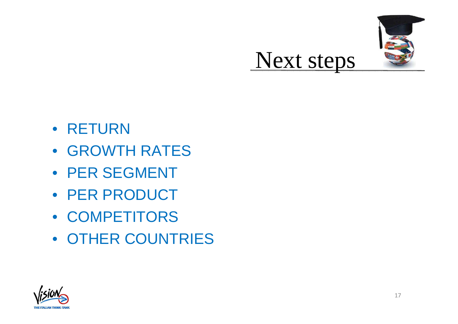

- RETURN
- GROWTH RATES
- PER SEGMENT
- PER PRODUCT
- COMPETITORS
- OTHER COUNTRIES